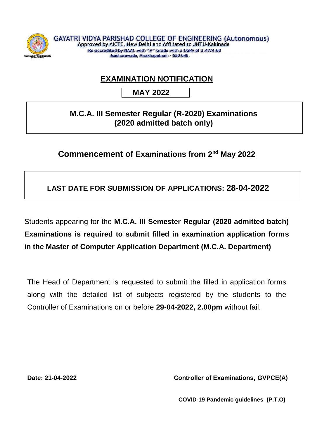

## **EXAMINATION NOTIFICATION**

 **MAY 2022**

## **M.C.A. III Semester Regular (R-2020) Examinations (2020 admitted batch only)**

## **Commencement of Examinations from 2<sup>nd</sup> May 2022**

**LAST DATE FOR SUBMISSION OF APPLICATIONS: 28-04-2022**

Students appearing for the **M.C.A. III Semester Regular (2020 admitted batch) Examinations is required to submit filled in examination application forms in the Master of Computer Application Department (M.C.A. Department)**

The Head of Department is requested to submit the filled in application forms along with the detailed list of subjects registered by the students to the Controller of Examinations on or before **29-04-2022, 2.00pm** without fail.

**Date: 21-04-2022 Controller of Examinations, GVPCE(A)**

**COVID-19 Pandemic guidelines (P.T.O)**